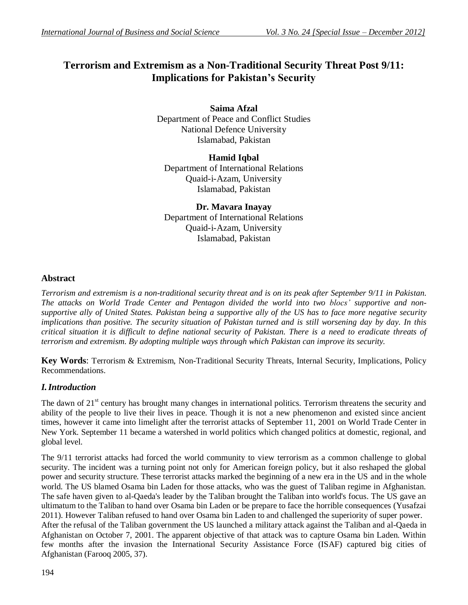# **Terrorism and Extremism as a Non-Traditional Security Threat Post 9/11: Implications for Pakistan's Security**

**Saima Afzal** Department of Peace and Conflict Studies National Defence University Islamabad, Pakistan

**Hamid Iqbal** Department of International Relations Quaid-i-Azam, University Islamabad, Pakistan

**Dr. Mavara Inayay** Department of International Relations Quaid-i-Azam, University Islamabad, Pakistan

#### **Abstract**

*Terrorism and extremism is a non-traditional security threat and is on its peak after September 9/11 in Pakistan. The attacks on World Trade Center and Pentagon divided the world into two blocs' supportive and nonsupportive ally of United States. Pakistan being a supportive ally of the US has to face more negative security implications than positive. The security situation of Pakistan turned and is still worsening day by day. In this critical situation it is difficult to define national security of Pakistan. There is a need to eradicate threats of terrorism and extremism. By adopting multiple ways through which Pakistan can improve its security.*

**Key Words**: Terrorism & Extremism, Non-Traditional Security Threats, Internal Security, Implications, Policy Recommendations.

## *I.Introduction*

The dawn of  $21<sup>st</sup>$  century has brought many changes in international politics. Terrorism threatens the security and ability of the people to live their lives in peace. Though it is not a new phenomenon and existed since ancient times, however it came into limelight after the terrorist attacks of September 11, 2001 on World Trade Center in New York. September 11 became a watershed in world politics which changed politics at domestic, regional, and global level.

The 9/11 terrorist attacks had forced the world community to view terrorism as a common challenge to global security. The incident was a turning point not only for American foreign policy, but it also reshaped the global power and security structure. These terrorist attacks marked the beginning of a new era in the US and in the whole world. The US blamed Osama bin Laden for those attacks, who was the guest of Taliban regime in Afghanistan. The safe haven given to al-Qaeda's leader by the Taliban brought the Taliban into world's focus. The US gave an ultimatum to the Taliban to hand over Osama bin Laden or be prepare to face the horrible consequences (Yusafzai 2011). However Taliban refused to hand over Osama bin Laden to and challenged the superiority of super power. After the refusal of the Taliban government the US launched a military attack against the Taliban and al-Qaeda in Afghanistan on October 7, 2001. The apparent objective of that attack was to capture Osama bin Laden. Within few months after the invasion the International Security Assistance Force (ISAF) captured big cities of Afghanistan (Farooq 2005, 37).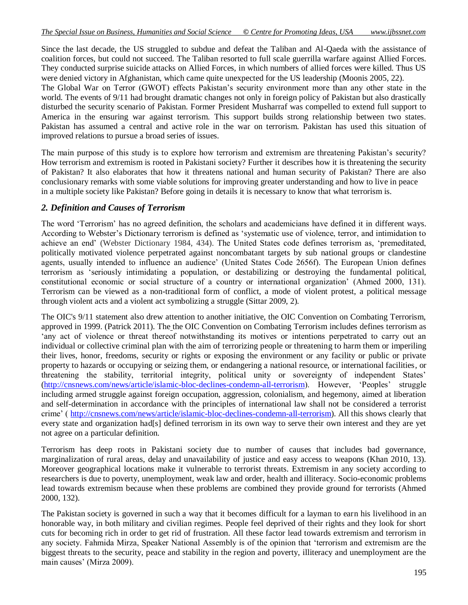Since the last decade, the US struggled to subdue and defeat the Taliban and Al-Qaeda with the assistance of coalition forces, but could not succeed. The Taliban resorted to full scale guerrilla warfare against Allied Forces. They conducted surprise suicide attacks on Allied Forces, in which numbers of allied forces were killed. Thus US were denied victory in Afghanistan, which came quite unexpected for the US leadership (Moonis 2005, 22). The Global War on Terror (GWOT) effects Pakistan's security environment more than any other state in the

world. The events of 9/11 had brought dramatic changes not only in foreign policy of Pakistan but also drastically disturbed the security scenario of Pakistan. Former President Musharraf was compelled to extend full support to America in the ensuring war against terrorism. This support builds strong relationship between two states. Pakistan has assumed a central and active role in the war on terrorism. Pakistan has used this situation of improved relations to pursue a broad series of issues.

The main purpose of this study is to explore how terrorism and extremism are threatening Pakistan's security? How terrorism and extremism is rooted in Pakistani society? Further it describes how it is threatening the security of Pakistan? It also elaborates that how it threatens national and human security of Pakistan? There are also conclusionary remarks with some viable solutions for improving greater understanding and how to live in peace in a multiple society like Pakistan? Before going in details it is necessary to know that what terrorism is.

#### *2. Definition and Causes of Terrorism*

The word 'Terrorism' has no agreed definition, the scholars and academicians have defined it in different ways. According to Webster's Dictionary terrorism is defined as 'systematic use of violence, terror, and intimidation to achieve an end' (Webster Dictionary 1984, 434). The United States code defines terrorism as, 'premeditated, politically motivated violence perpetrated against noncombatant targets by sub national groups or clandestine agents, usually intended to influence an audience' (United States Code 2656f). The European Union defines terrorism as 'seriously intimidating a population, or destabilizing or destroying the fundamental political, constitutional economic or social structure of a country or international organization' (Ahmed 2000, 131). Terrorism can be viewed as a non-traditional form of conflict, a mode of violent protest, a political message through violent acts and a violent act symbolizing a struggle (Sittar 2009, 2).

The OIC's 9/11 statement also drew attention to another initiative, the OIC Convention on Combating Terrorism, approved in 1999. (Patrick 2011). The the OIC Convention on Combating Terrorism includes defines terrorism as 'any act of violence or threat thereof notwithstanding its motives or intentions perpetrated to carry out an individual or collective criminal plan with the aim of terrorizing people or threatening to harm them or imperiling their lives, honor, freedoms, security or rights or exposing the environment or any facility or public or private property to hazards or occupying or seizing them, or endangering a national resource, or international facilities, or threatening the stability, territorial integrity, political unity or sovereignty of independent States' [\(http://cnsnews.com/news/article/islamic-bloc-declines-condemn-all-terrorism\)](http://cnsnews.com/news/article/islamic-bloc-declines-condemn-all-terrorism). However, 'Peoples' struggle including armed struggle against foreign occupation, aggression, colonialism, and hegemony, aimed at liberation and self-determination in accordance with the principles of international law shall not be considered a terrorist crime' ( [http://cnsnews.com/news/article/islamic-bloc-declines-condemn-all-terrorism\)](http://cnsnews.com/news/article/islamic-bloc-declines-condemn-all-terrorism). All this shows clearly that every state and organization had[s] defined terrorism in its own way to serve their own interest and they are yet not agree on a particular definition.

Terrorism has deep roots in Pakistani society due to number of causes that includes bad governance, marginalization of rural areas, delay and unavailability of justice and easy access to weapons (Khan 2010, 13). Moreover geographical locations make it vulnerable to terrorist threats. Extremism in any society according to researchers is due to poverty, unemployment, weak law and order, health and illiteracy. Socio-economic problems lead towards extremism because when these problems are combined they provide ground for terrorists (Ahmed 2000, 132).

The Pakistan society is governed in such a way that it becomes difficult for a layman to earn his livelihood in an honorable way, in both military and civilian regimes. People feel deprived of their rights and they look for short cuts for becoming rich in order to get rid of frustration. All these factor lead towards extremism and terrorism in any society. Fahmida Mirza, Speaker National Assembly is of the opinion that 'terrorism and extremism are the biggest threats to the security, peace and stability in the region and poverty, illiteracy and unemployment are the main causes' (Mirza 2009).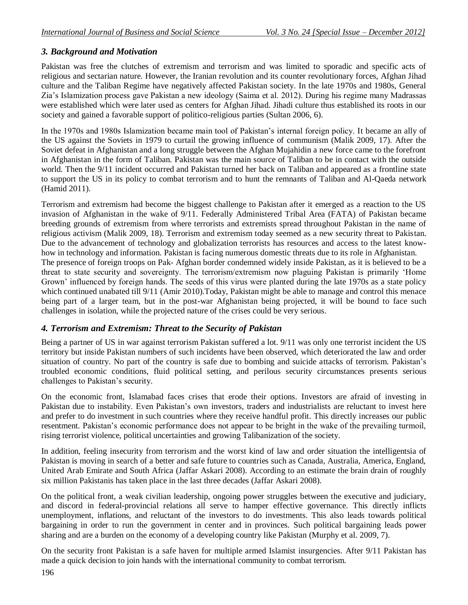# *3. Background and Motivation*

Pakistan was free the clutches of extremism and terrorism and was limited to sporadic and specific acts of religious and sectarian nature. However, the Iranian revolution and its counter revolutionary forces, Afghan Jihad culture and the Taliban Regime have negatively affected Pakistan society. In the late 1970s and 1980s, General Zia's Islamization process gave Pakistan a new ideology (Saima et al. 2012). During his regime many Madrassas were established which were later used as centers for Afghan Jihad. Jihadi culture thus established its roots in our society and gained a favorable support of politico-religious parties (Sultan 2006, 6).

In the 1970s and 1980s Islamization became main tool of Pakistan's internal foreign policy. It became an ally of the US against the Soviets in 1979 to curtail the growing influence of communism (Malik 2009, 17). After the Soviet defeat in Afghanistan and a long struggle between the Afghan Mujahidin a new force came to the forefront in Afghanistan in the form of Taliban. Pakistan was the main source of Taliban to be in contact with the outside world. Then the 9/11 incident occurred and Pakistan turned her back on Taliban and appeared as a frontline state to support the US in its policy to combat terrorism and to hunt the remnants of Taliban and Al-Qaeda network (Hamid 2011).

Terrorism and extremism had become the biggest challenge to Pakistan after it emerged as a reaction to the US invasion of Afghanistan in the wake of 9/11. Federally Administered Tribal Area (FATA) of Pakistan became breeding grounds of extremism from where terrorists and extremists spread throughout Pakistan in the name of religious activism (Malik 2009, 18). Terrorism and extremism today seemed as a new security threat to Pakistan. Due to the advancement of technology and globalization terrorists has resources and access to the latest knowhow in technology and information. Pakistan is facing numerous domestic threats due to its role in Afghanistan.

The presence of foreign troops on Pak- Afghan border condemned widely inside Pakistan, as it is believed to be a threat to state security and sovereignty. The terrorism/extremism now plaguing Pakistan is primarily 'Home Grown' influenced by foreign hands. The seeds of this virus were planted during the late 1970s as a state policy which continued unabated till 9/11 (Amir 2010). Today, Pakistan might be able to manage and control this menace being part of a larger team, but in the post-war Afghanistan being projected, it will be bound to face such challenges in isolation, while the projected nature of the crises could be very serious.

## *4. Terrorism and Extremism: Threat to the Security of Pakistan*

Being a partner of US in war against terrorism Pakistan suffered a lot. 9/11 was only one terrorist incident the US territory but inside Pakistan numbers of such incidents have been observed, which deteriorated the law and order situation of country. No part of the country is safe due to bombing and suicide attacks of terrorism. Pakistan's troubled economic conditions, fluid political setting, and perilous security circumstances presents serious challenges to Pakistan's security.

On the economic front, Islamabad faces crises that erode their options. Investors are afraid of investing in Pakistan due to instability. Even Pakistan's own investors, traders and industrialists are reluctant to invest here and prefer to do investment in such countries where they receive handful profit. This directly increases our public resentment. Pakistan's economic performance does not appear to be bright in the wake of the prevailing turmoil, rising terrorist violence, political uncertainties and growing Talibanization of the society.

In addition, feeling insecurity from terrorism and the worst kind of law and order situation the intelligentsia of Pakistan is moving in search of a better and safe future to countries such as Canada, Australia, America, England, United Arab Emirate and South Africa (Jaffar Askari 2008). According to an estimate the brain drain of roughly six million Pakistanis has taken place in the last three decades (Jaffar Askari 2008).

On the political front, a weak civilian leadership, ongoing power struggles between the executive and judiciary, and discord in federal-provincial relations all serve to hamper effective governance. This directly inflicts unemployment, inflations, and reluctant of the investors to do investments. This also leads towards political bargaining in order to run the government in center and in provinces. Such political bargaining leads power sharing and are a burden on the economy of a developing country like Pakistan (Murphy et al. 2009, 7).

On the security front Pakistan is a safe haven for multiple armed Islamist insurgencies. After 9/11 Pakistan has made a quick decision to join hands with the international community to combat terrorism.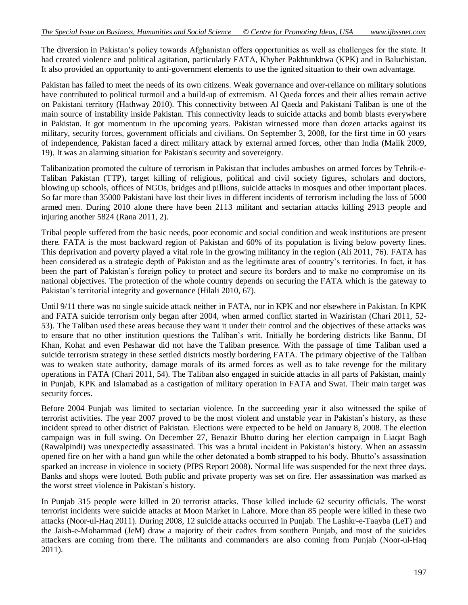The diversion in Pakistan's policy towards Afghanistan offers opportunities as well as challenges for the state. It had created violence and political agitation, particularly FATA, Khyber Pakhtunkhwa (KPK) and in Baluchistan. It also provided an opportunity to anti-government elements to use the ignited situation to their own advantage.

Pakistan has failed to meet the needs of its own citizens. Weak governance and over-reliance on military solutions have contributed to political turmoil and a build-up of extremism. Al Qaeda forces and their allies remain active on Pakistani territory (Hathway 2010). This connectivity between Al Qaeda and Pakistani Taliban is one of the main source of instability inside Pakistan. This connectivity leads to suicide attacks and bomb blasts everywhere in Pakistan. It got momentum in the upcoming years. Pakistan witnessed more than dozen attacks against its military, security forces, government officials and civilians. On September 3, 2008, for the first time in 60 years of independence, Pakistan faced a direct military attack by external armed forces, other than India (Malik 2009, 19). It was an alarming situation for Pakistan's security and sovereignty.

Talibanization promoted the culture of terrorism in Pakistan that includes ambushes on armed forces by Tehrik-e-Taliban Pakistan (TTP), target killing of religious, political and civil society figures, scholars and doctors, blowing up schools, offices of NGOs, bridges and pillions, suicide attacks in mosques and other important places. So far more than 35000 Pakistani have lost their lives in different incidents of terrorism including the loss of 5000 armed men. During 2010 alone there have been 2113 militant and sectarian attacks killing 2913 people and injuring another 5824 (Rana 2011, 2).

Tribal people suffered from the basic needs, poor economic and social condition and weak institutions are present there. FATA is the most backward region of Pakistan and 60% of its population is living below poverty lines. This deprivation and poverty played a vital role in the growing militancy in the region (Ali 2011, 76). FATA has been considered as a strategic depth of Pakistan and as the legitimate area of country's territories. In fact, it has been the part of Pakistan's foreign policy to protect and secure its borders and to make no compromise on its national objectives. The protection of the whole country depends on securing the FATA which is the gateway to Pakistan's territorial integrity and governance (Hilali 2010, 67).

Until 9/11 there was no single suicide attack neither in FATA, nor in KPK and nor elsewhere in Pakistan. In KPK and FATA suicide terrorism only began after 2004, when armed conflict started in Waziristan (Chari 2011, 52- 53). The Taliban used these areas because they want it under their control and the objectives of these attacks was to ensure that no other institution questions the Taliban's writ. Initially he bordering districts like Bannu, DI Khan, Kohat and even Peshawar did not have the Taliban presence. With the passage of time Taliban used a suicide terrorism strategy in these settled districts mostly bordering FATA. The primary objective of the Taliban was to weaken state authority, damage morals of its armed forces as well as to take revenge for the military operations in FATA (Chari 2011, 54). The Taliban also engaged in suicide attacks in all parts of Pakistan, mainly in Punjab, KPK and Islamabad as a castigation of military operation in FATA and Swat. Their main target was security forces.

Before 2004 Punjab was limited to sectarian violence. In the succeeding year it also witnessed the spike of terrorist activities. The year 2007 proved to be the most violent and unstable year in Pakistan's history, as these incident spread to other district of Pakistan. Elections were expected to be held on January 8, 2008. The election campaign was in full swing. On December 27, Benazir Bhutto during her election campaign in Liaqat Bagh (Rawalpindi) was unexpectedly assassinated. This was a brutal incident in Pakistan's history. When an assassin opened fire on her with a hand gun while the other detonated a bomb strapped to his body. Bhutto's assassination sparked an increase in violence in society (PIPS Report 2008). Normal life was suspended for the next three days. Banks and shops were looted. Both public and private property was set on fire. Her assassination was marked as the worst street violence in Pakistan's history.

In Punjab 315 people were killed in 20 terrorist attacks. Those killed include 62 security officials. The worst terrorist incidents were suicide attacks at Moon Market in Lahore. More than 85 people were killed in these two attacks (Noor-ul-Haq 2011). During 2008, 12 suicide attacks occurred in Punjab. The Lashkr-e-Taayba (LeT) and the Jaish-e-Mohammad (JeM) draw a majority of their cadres from southern Punjab, and most of the suicides attackers are coming from there. The militants and commanders are also coming from Punjab (Noor-ul-Haq 2011).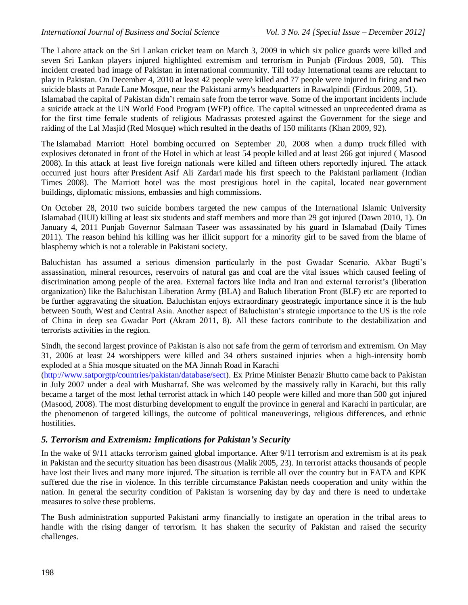The Lahore attack on the Sri Lankan cricket team on March 3, 2009 in which six police guards were killed and seven Sri Lankan players injured highlighted extremism and terrorism in Punjab (Firdous 2009, 50). This incident created bad image of Pakistan in international community. Till today International teams are reluctant to play in Pakistan. On December 4, 2010 at least 42 people were killed and 77 people were injured in firing and two suicide blasts at Parade Lane Mosque, near the Pakistani army's headquarters in Rawalpindi (Firdous 2009, 51).

Islamabad the capital of Pakistan didn't remain safe from the terror wave. Some of the important incidents include a suicide attack at the UN World Food Program (WFP) office. The capital witnessed an unprecedented drama as for the first time female students of religious Madrassas protested against the Government for the siege and raiding of the Lal Masjid (Red Mosque) which resulted in the deaths of 150 militants (Khan 2009, 92).

The Islamabad Marriott Hotel bombing occurred on September 20, 2008 when a [dump truck](http://en.wikipedia.org/wiki/Dump_truck) filled with explosives detonated in front of the [Hotel](http://en.wikipedia.org/wiki/Marriott_International) in which at least 54 people killed and at least 266 got injured ( Masood 2008). In this attack at least five foreign nationals were killed and fifteen others reportedly injured. The attack occurred just hours after [President](http://en.wikipedia.org/wiki/President_of_Pakistan) [Asif Ali Zardari](http://en.wikipedia.org/wiki/Asif_Ali_Zardari) made his first speech to the Pakistani [parliament](http://en.wikipedia.org/wiki/Parliament_of_Pakistan) (Indian Times 2008). The Marriott hotel was the most prestigious hotel in the capital, located near [government](http://en.wikipedia.org/wiki/Government_Buildings)  [buildings,](http://en.wikipedia.org/wiki/Government_Buildings) [diplomatic missions,](http://en.wikipedia.org/wiki/Diplomatic_missions) [embassies](http://en.wikipedia.org/wiki/Embassies) and [high commissions.](http://en.wikipedia.org/wiki/High_Commissioner_(Commonwealth))

On October 28, 2010 two suicide bombers targeted the new campus of the International Islamic University Islamabad (IIUI) killing at least six students and staff members and more than 29 got injured (Dawn 2010, 1). On January 4, 2011 Punjab Governor Salmaan Taseer was assassinated by his guard in Islamabad (Daily Times 2011). The reason behind his killing was her illicit support for a minority girl to be saved from the blame of blasphemy which is not a tolerable in Pakistani society.

Baluchistan has assumed a serious dimension particularly in the post Gwadar Scenario. Akbar Bugti's assassination, mineral resources, reservoirs of natural gas and coal are the vital issues which caused feeling of discrimination among people of the area. External factors like India and Iran and external terrorist's (liberation organization) like the Baluchistan Liberation Army (BLA) and Baluch liberation Front (BLF) etc are reported to be further aggravating the situation. Baluchistan enjoys extraordinary geostrategic importance since it is the hub between South, West and Central Asia. Another aspect of Baluchistan's strategic importance to the US is the role of China in deep sea Gwadar Port (Akram 2011, 8). All these factors contribute to the destabilization and terrorists activities in the region.

Sindh, the second largest province of Pakistan is also not safe from the germ of terrorism and extremism. On May 31, 2006 at least 24 worshippers were killed and 34 others sustained injuries when a high-intensity bomb exploded at a Shia mosque situated on the MA Jinnah Road in Karachi

[\(http://www.satporgtp/countries/pakistan/database/sect\)](http://www.satporgtp/countries/pakistan/database/sect). Ex Prime Minister Benazir Bhutto came back to Pakistan in July 2007 under a deal with Musharraf. She was welcomed by the massively rally in Karachi, but this rally became a target of the most lethal terrorist attack in which 140 people were killed and more than 500 got injured (Masood, 2008). The most disturbing development to engulf the province in general and Karachi in particular, are the phenomenon of targeted killings, the outcome of political maneuverings, religious differences, and ethnic hostilities.

#### *5. Terrorism and Extremism: Implications for Pakistan's Security*

In the wake of 9/11 attacks terrorism gained global importance. After 9/11 terrorism and extremism is at its peak in Pakistan and the security situation has been disastrous (Malik 2005, 23). In terrorist attacks thousands of people have lost their lives and many more injured. The situation is terrible all over the country but in FATA and KPK suffered due the rise in violence. In this terrible circumstance Pakistan needs cooperation and unity within the nation. In general the security condition of Pakistan is worsening day by day and there is need to undertake measures to solve these problems.

The Bush administration supported Pakistani army financially to instigate an operation in the tribal areas to handle with the rising danger of terrorism. It has shaken the security of Pakistan and raised the security challenges.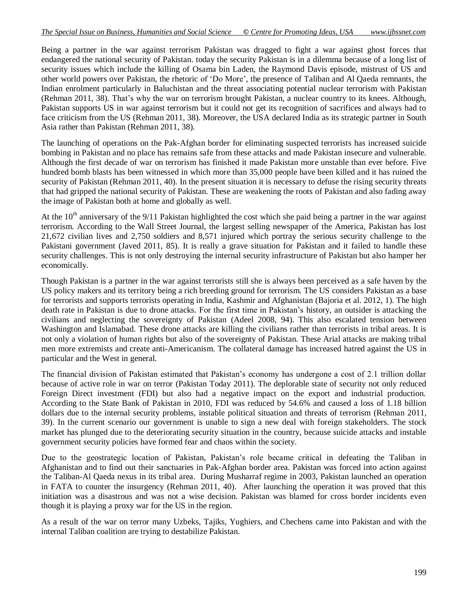Being a partner in the war against terrorism Pakistan was dragged to fight a war against ghost forces that endangered the national security of Pakistan. today the security Pakistan is in a dilemma because of a long list of security issues which include the killing of Osama bin Laden, the Raymond Davis episode, mistrust of US and other world powers over Pakistan, the rhetoric of 'Do More', the presence of Taliban and Al Qaeda remnants, the Indian enrolment particularly in Baluchistan and the threat associating potential nuclear terrorism with Pakistan (Rehman 2011, 38). That's why the war on terrorism brought Pakistan, a nuclear country to its knees. Although, Pakistan supports US in war against terrorism but it could not get its recognition of sacrifices and always had to face criticism from the US (Rehman 2011, 38). Moreover, the USA declared India as its strategic partner in South Asia rather than Pakistan (Rehman 2011, 38).

The launching of operations on the Pak-Afghan border for eliminating suspected terrorists has increased suicide bombing in Pakistan and no place has remains safe from these attacks and made Pakistan insecure and vulnerable. Although the first decade of war on terrorism has finished it made Pakistan more unstable than ever before. Five hundred bomb blasts has been witnessed in which more than 35,000 people have been killed and it has ruined the security of Pakistan (Rehman 2011, 40). In the present situation it is necessary to defuse the rising security threats that had gripped the national security of Pakistan. These are weakening the roots of Pakistan and also fading away the image of Pakistan both at home and globally as well.

At the  $10<sup>th</sup>$  anniversary of the 9/11 Pakistan highlighted the cost which she paid being a partner in the war against terrorism. According to the Wall Street Journal, the largest selling newspaper of the America, Pakistan has lost 21,672 civilian lives and 2,750 soldiers and 8,571 injured which portray the serious security challenge to the Pakistani government (Javed 2011, 85). It is really a grave situation for Pakistan and it failed to handle these security challenges. This is not only destroying the internal security infrastructure of Pakistan but also hamper her economically.

Though Pakistan is a partner in the war against terrorists still she is always been perceived as a safe haven by the US policy makers and its territory being a rich breeding ground for terrorism. The US considers Pakistan as a base for terrorists and supports terrorists operating in India, Kashmir and Afghanistan (Bajoria et al. 2012, 1). The high death rate in Pakistan is due to drone attacks. For the first time in Pakistan's history, an outsider is attacking the civilians and neglecting the sovereignty of Pakistan (Adeel 2008, 94). This also escalated tension between Washington and Islamabad. These drone attacks are killing the civilians rather than terrorists in tribal areas. It is not only a violation of human rights but also of the sovereignty of Pakistan. These Arial attacks are making tribal men more extremists and create anti-Americanism. The collateral damage has increased hatred against the US in particular and the West in general.

The financial division of Pakistan estimated that Pakistan's economy has undergone a cost of 2.1 trillion dollar because of active role in war on terror (Pakistan Today 2011). The deplorable state of security not only reduced Foreign Direct investment (FDI) but also had a negative impact on the export and industrial production. According to the State Bank of Pakistan in 2010, FDI was reduced by 54.6% and caused a loss of 1.18 billion dollars due to the internal security problems, instable political situation and threats of terrorism (Rehman 2011, 39). In the current scenario our government is unable to sign a new deal with foreign stakeholders. The stock market has plunged due to the deteriorating security situation in the country, because suicide attacks and instable government security policies have formed fear and chaos within the society.

Due to the geostrategic location of Pakistan, Pakistan's role became critical in defeating the Taliban in Afghanistan and to find out their sanctuaries in Pak-Afghan border area. Pakistan was forced into action against the Taliban-Al Qaeda nexus in its tribal area. During Musharraf regime in 2003, Pakistan launched an operation in FATA to counter the insurgency (Rehman 2011, 40). After launching the operation it was proved that this initiation was a disastrous and was not a wise decision. Pakistan was blamed for cross border incidents even though it is playing a proxy war for the US in the region.

As a result of the war on terror many Uzbeks, Tajiks, Yughiers, and Chechens came into Pakistan and with the internal Taliban coalition are trying to destabilize Pakistan.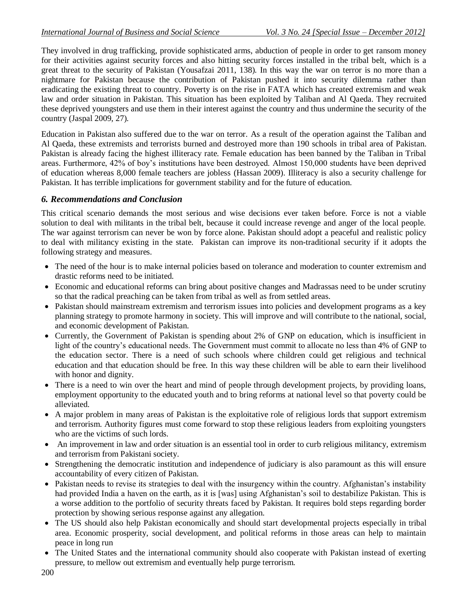They involved in drug trafficking, provide sophisticated arms, abduction of people in order to get ransom money for their activities against security forces and also hitting security forces installed in the tribal belt, which is a great threat to the security of Pakistan (Yousafzai 2011, 138). In this way the war on terror is no more than a nightmare for Pakistan because the contribution of Pakistan pushed it into security dilemma rather than eradicating the existing threat to country. Poverty is on the rise in FATA which has created extremism and weak law and order situation in Pakistan. This situation has been exploited by Taliban and Al Qaeda. They recruited these deprived youngsters and use them in their interest against the country and thus undermine the security of the country (Jaspal 2009, 27).

Education in Pakistan also suffered due to the war on terror. As a result of the operation against the Taliban and Al Qaeda, these extremists and terrorists burned and destroyed more than 190 schools in tribal area of Pakistan. Pakistan is already facing the highest illiteracy rate. Female education has been banned by the Taliban in Tribal areas. Furthermore, 42% of boy's institutions have been destroyed. Almost 150,000 students have been deprived of education whereas 8,000 female teachers are jobless (Hassan 2009). Illiteracy is also a security challenge for Pakistan. It has terrible implications for government stability and for the future of education.

# *6. Recommendations and Conclusion*

This critical scenario demands the most serious and wise decisions ever taken before. Force is not a viable solution to deal with militants in the tribal belt, because it could increase revenge and anger of the local people. The war against terrorism can never be won by force alone. Pakistan should adopt a peaceful and realistic policy to deal with militancy existing in the state. Pakistan can improve its non-traditional security if it adopts the following strategy and measures.

- The need of the hour is to make internal policies based on tolerance and moderation to counter extremism and drastic reforms need to be initiated.
- Economic and educational reforms can bring about positive changes and Madrassas need to be under scrutiny so that the radical preaching can be taken from tribal as well as from settled areas.
- Pakistan should mainstream extremism and terrorism issues into policies and development programs as a key planning strategy to promote harmony in society. This will improve and will contribute to the national, social, and economic development of Pakistan.
- Currently, the Government of Pakistan is spending about 2% of GNP on education, which is insufficient in light of the country's educational needs. The Government must commit to allocate no less than 4% of GNP to the education sector. There is a need of such schools where children could get religious and technical education and that education should be free. In this way these children will be able to earn their livelihood with honor and dignity.
- There is a need to win over the heart and mind of people through development projects, by providing loans, employment opportunity to the educated youth and to bring reforms at national level so that poverty could be alleviated.
- A major problem in many areas of Pakistan is the exploitative role of religious lords that support extremism and terrorism. Authority figures must come forward to stop these religious leaders from exploiting youngsters who are the victims of such lords.
- An improvement in law and order situation is an essential tool in order to curb religious militancy, extremism and terrorism from Pakistani society.
- Strengthening the democratic institution and independence of judiciary is also paramount as this will ensure accountability of every citizen of Pakistan.
- Pakistan needs to revise its strategies to deal with the insurgency within the country. Afghanistan's instability had provided India a haven on the earth, as it is [was] using Afghanistan's soil to destabilize Pakistan. This is a worse addition to the portfolio of security threats faced by Pakistan. It requires bold steps regarding border protection by showing serious response against any allegation.
- The US should also help Pakistan economically and should start developmental projects especially in tribal area. Economic prosperity, social development, and political reforms in those areas can help to maintain peace in long run
- The United States and the international community should also cooperate with Pakistan instead of exerting pressure, to mellow out extremism and eventually help purge terrorism.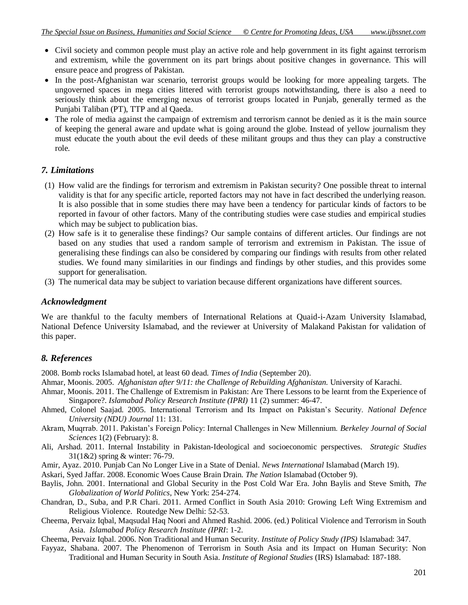- Civil society and common people must play an active role and help government in its fight against terrorism and extremism, while the government on its part brings about positive changes in governance. This will ensure peace and progress of Pakistan.
- In the post-Afghanistan war scenario, terrorist groups would be looking for more appealing targets. The ungoverned spaces in mega cities littered with terrorist groups notwithstanding, there is also a need to seriously think about the emerging nexus of terrorist groups located in Punjab, generally termed as the Punjabi Taliban (PT), TTP and al Qaeda.
- The role of media against the campaign of extremism and terrorism cannot be denied as it is the main source of keeping the general aware and update what is going around the globe. Instead of yellow journalism they must educate the youth about the evil deeds of these militant groups and thus they can play a constructive role.

#### *7. Limitations*

- (1) How valid are the findings for terrorism and extremism in Pakistan security? One possible threat to internal validity is that for any specific article, reported factors may not have in fact described the underlying reason. It is also possible that in some studies there may have been a tendency for particular kinds of factors to be reported in favour of other factors. Many of the contributing studies were case studies and empirical studies which may be subject to publication bias.
- (2) How safe is it to generalise these findings? Our sample contains of different articles. Our findings are not based on any studies that used a random sample of terrorism and extremism in Pakistan. The issue of generalising these findings can also be considered by comparing our findings with results from other related studies. We found many similarities in our findings and findings by other studies, and this provides some support for generalisation.
- (3) The numerical data may be subject to variation because different organizations have different sources.

#### *Acknowledgment*

We are thankful to the faculty members of International Relations at Quaid-i-Azam University Islamabad, National Defence University Islamabad, and the reviewer at University of Malakand Pakistan for validation of this paper.

## *8. References*

2008. Bomb rocks Islamabad hotel, at least 60 dead. *Times of India* (September 20).

- Ahmar, Moonis. 2005. *Afghanistan after 9/11: the Challenge of Rebuilding Afghanistan.* University of Karachi.
- Ahmar, Moonis. 2011. The Challenge of Extremism in Pakistan: Are There Lessons to be learnt from the Experience of Singapore?. *Islamabad Policy Research Institute (IPRI)* 11 (2) summer: 46-47.
- Ahmed, Colonel Saajad. 2005. International Terrorism and Its Impact on Pakistan's Security. *National Defence University (NDU) Journal* 11: 131.
- Akram, Muqrrab. 2011. Pakistan's Foreign Policy: Internal Challenges in New Millennium. *Berkeley Journal of Social Sciences* 1(2) (February): 8.
- Ali, Arshad. 2011. Internal Instability in Pakistan-Ideological and socioeconomic perspectives. *Strategic Studies*  31(1&2) spring & winter: 76-79.
- Amir, Ayaz. 2010. Punjab Can No Longer Live in a State of Denial. *News International* Islamabad (March 19).
- Askari, Syed Jaffar. 2008. Economic Woes Cause Brain Drain. *The Nation* Islamabad (October 9).
- Baylis, John. 2001. International and Global Security in the Post Cold War Era. John Baylis and Steve Smith, *The Globalization of World Politics*, New York: 254-274.
- Chandran, D., Suba, and P.R Chari. 2011. Armed Conflict in South Asia 2010: Growing Left Wing Extremism and Religious Violence. Routedge New Delhi: 52-53.
- Cheema, Pervaiz Iqbal, Maqsudal Haq Noori and Ahmed Rashid. 2006. (ed.) Political Violence and Terrorism in South Asia. *Islamabad Policy Research Institute (IPRI*: 1-2.
- Cheema, Pervaiz Iqbal. 2006. Non Traditional and Human Security. *Institute of Policy Study (IPS)* Islamabad: 347.
- Fayyaz, Shabana. 2007. The Phenomenon of Terrorism in South Asia and its Impact on Human Security: Non Traditional and Human Security in South Asia. *Institute of Regional Studies* (IRS) Islamabad: 187-188.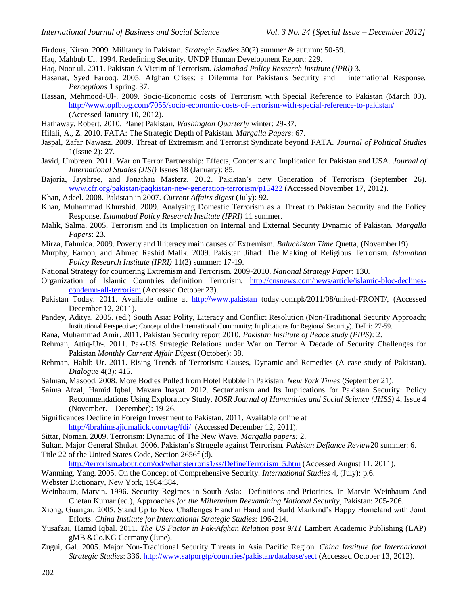Firdous, Kiran. 2009. Militancy in Pakistan. *Strategic Studies* 30(2) summer & autumn: 50-59.

- Haq, Mahbub Ul. 1994. Redefining Security. UNDP Human Development Report: 229.
- Haq, Noor ul. 2011. Pakistan A Victim of Terrorism. *Islamabad Policy Research Institute (IPRI)* 3*.*
- Hasanat, Syed Farooq. 2005. Afghan Crises: a Dilemma for Pakistan's Security and international Response. *Perceptions* 1 spring: 37.
- Hassan, Mehmood-Ul-. 2009. Socio-Economic costs of Terrorism with Special Reference to Pakistan (March 03)[.](http://www.opfblog.com/7055/socio-economic-costs-of-terrorism-with-special-reference-to-pakistan/) <http://www.opfblog.com/7055/socio-economic-costs-of-terrorism-with-special-reference-to-pakistan/> (Accessed January 10, 2012).
- Hathaway, Robert. 2010. Planet Pakistan. *Washington Quarterly* winter: 29-37.
- Hilali, A., Z. 2010. FATA: The Strategic Depth of Pakistan. *Margalla Papers*: 67.
- Jaspal, Zafar Nawasz. 2009. Threat of Extremism and Terrorist Syndicate beyond FATA. *Journal of Political Studies* 1(Issue 2): 27.
- Javid, Umbreen. 2011. War on Terror Partnership: Effects, Concerns and Implication for Pakistan and USA. *Journal of International Studies (JISI)* Issues 18 (January): 85.
- Bajoria, Jayshree, and Jonathan Masterz. 2012. Pakistan's new Generation of Terrorism (September 26). [www.cfr.org/pakistan/paqkistan-new-generation-terrorism/p15422](http://www.cfr.org/pakistan/paqkistan-new-generation-terrorism/p15422%20Accessed%20November%2017) (Accessed November 17, 2012).
- Khan, Adeel. 2008. Pakistan in 2007. *Current Affairs digest* (July): 92.
- Khan, Muhammad Khurshid. 2009. Analysing Domestic Terrorism as a Threat to Pakistan Security and the Policy Response. *Islamabad Policy Research Institute (IPRI)* 11 summer.
- Malik, Salma. 2005. Terrorism and Its Implication on Internal and External Security Dynamic of Pakistan. *Margalla Papers*: 23.
- Mirza, Fahmida. 2009. Poverty and Illiteracy main causes of Extremism. *Baluchistan Time* Quetta, (November19).
- Murphy, Eamon, and Ahmed Rashid Malik. 2009. Pakistan Jihad: The Making of Religious Terrorism. *Islamabad Policy Research Institute (IPRI)* 11(2) summer: 17-19.
- National Strategy for countering Extremism and Terrorism. 2009-2010. *National Strategy Paper*: 130.
- Organization of Islamic Countries definition Terrorism. [http://cnsnews.com/news/article/islamic-bloc-declines](http://cnsnews.com/news/article/islamic-bloc-declines-condemn-all-terrorism)[condemn-all-terrorism](http://cnsnews.com/news/article/islamic-bloc-declines-condemn-all-terrorism) (Accessed October 23).
- Pakistan Today. 2011. Available online at [http://www.pakistan](http://www.pakistan/) today.com.pk/2011/08/united-FRONT/, (Accessed December 12, 2011).
- Pandey, Aditya. 2005. (ed.) South Asia: Polity, Literacy and Conflict Resolution (Non-Traditional Security Approach; Institutional Perspective; Concept of the International Community; Implications for Regional Security). Delhi: 27-59.
- Rana, Muhammad Amir. 2011. Pakistan Security report 2010. *Pakistan Institute of Peace study (PIPS)*: 2.
- Rehman, Attiq-Ur-. 2011. Pak-US Strategic Relations under War on Terror A Decade of Security Challenges for Pakistan *Monthly Current Affair Digest* (October): 38.
- Rehman, Habib Ur. 2011. Rising Trends of Terrorism: Causes, Dynamic and Remedies (A case study of Pakistan). *Dialogue* 4(3): 415.
- Salman, Masood. 2008. More Bodies Pulled from Hotel Rubble in Pakistan. *New York Times* (September 21).
- Saima Afzal, Hamid Iqbal, Mavara Inayat. 2012. Sectarianism and Its Implications for Pakistan Security: Policy Recommendations Using Exploratory Study. *IOSR Journal of Humanities and Social Science (JHSS)* 4, Issue 4 (November. – December): 19-26.
- Significances Decline in Foreign Investment to Pakistan. 2011. Available online at <http://ibrahimsajidmalick.com/tag/fdi/>(Accessed December 12, 2011).
- Sittar, Noman. 2009. Terrorism: Dynamic of The New Wave. *Margalla papers:* 2.
- Sultan, Major General Shukat. 2006. Pakistan's Struggle against Terrorism. *Pakistan Defiance Review*20 summer: 6. Title 22 of the United States Code, Section 2656f (d).

http://terrorism.about.com/od/whatisterroris1/ss/DefineTerrorism 5.htm (Accessed August 11, 2011).

Wanming, Yang. 2005. On the Concept of Comprehensive Security. *International Studies* 4, (July): p.6. Webster Dictionary, New York, 1984:384.

- Weinbaum, Marvin. 1996. Security Regimes in South Asia: Definitions and Priorities. In Marvin Weinbaum And Chetan Kumar (ed.), Approaches *for the Millennium Reexamining National Security*, Pakistan: 205-206.
- Xiong, Guangai. 2005. Stand Up to New Challenges Hand in Hand and Build Mankind's Happy Homeland with Joint Efforts. *China Institute for International Strategic Studies*: 196-214.
- Yusafzai, Hamid Iqbal. 2011. *The US Factor in Pak-Afghan Relation post 9/11* Lambert Academic Publishing (LAP) gMB &Co.KG Germany (June).
- Zugui, Gal. 2005. Major Non-Traditional Security Threats in Asia Pacific Region. *China Institute for International Strategic Studies*: 336. <http://www.satporgtp/countries/pakistan/database/sect> (Accessed October 13, 2012).